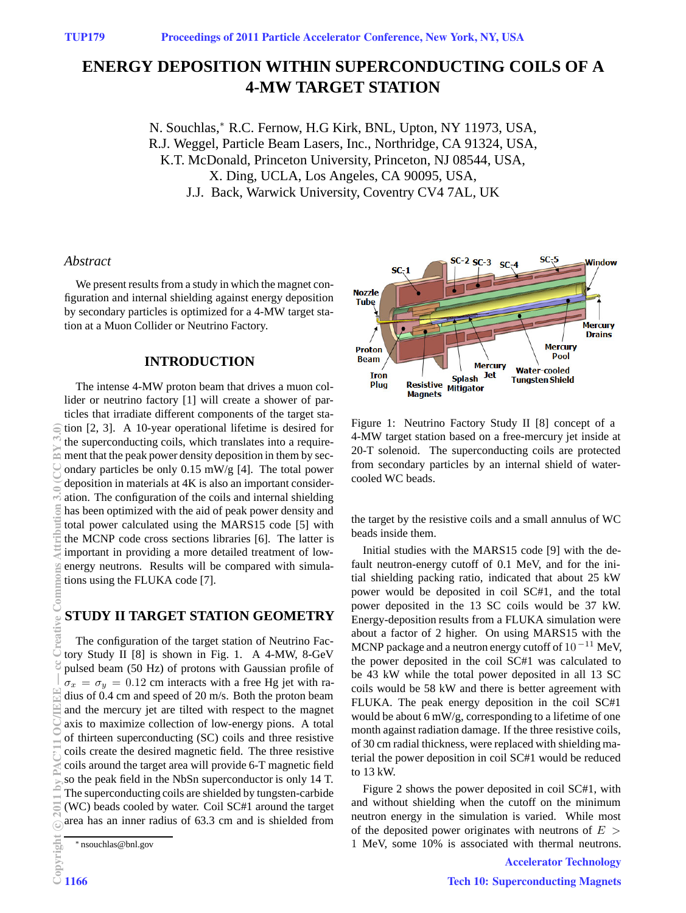# **ENERGY DEPOSITION WITHIN SUPERCONDUCTING COILS OF A 4-MW TARGET STATION**

N. Souchlas,<sup>∗</sup> R.C. Fernow, H.G Kirk, BNL, Upton, NY 11973, USA, R.J. Weggel, Particle Beam Lasers, Inc., Northridge, CA 91324, USA, K.T. McDonald, Princeton University, Princeton, NJ 08544, USA, X. Ding, UCLA, Los Angeles, CA 90095, USA, J.J. Back, Warwick University, Coventry CV4 7AL, UK

### *Abstract*

We present results from a study in which the magnet configuration and internal shielding against energy deposition by secondary particles is optimized for a 4-MW target station at a Muon Collider or Neutrino Factory.

## **INTRODUCTION**

The intense 4-MW proton beam that drives a muon collider or neutrino factory [1] will create a shower of particles that irradiate different components of the target station [2, 3]. A 10-year operational lifetime is desired for the superconducting coils, which translates into a requirement that the peak power density deposition in them by secondary particles be only 0.15 mW/g [4]. The total power deposition in materials at 4K is also an important consideration. The configuration of the coils and internal shielding has been optimized with the aid of peak power density and total power calculated using the MARS15 code [5] with the MCNP code cross sections libraries [6]. The latter is important in providing a more detailed treatment of lowenergy neutrons. Results will be compared with simulations using the FLUKA code [7].

# **STUDY II TARGET STATION GEOMETRY**

The configuration of the target station of Neutrino Factory Study II [8] is shown in Fig. 1. A 4-MW, 8-GeV pulsed beam (50 Hz) of protons with Gaussian profile of  $\sigma_x = \sigma_y = 0.12$  cm interacts with a free Hg jet with radius of 0.4 cm and speed of 20 m/s. Both the proton beam and the mercury jet are tilted with respect to the magnet axis to maximize collection of low-energy pions. A total of thirteen superconducting (SC) coils and three resistive coils create the desired magnetic field. The three resistive coils around the target area will provide 6-T magnetic field so the peak field in the NbSn superconductor is only 14 T. The superconducting coils are shielded by tungsten-carbide (WC) beads cooled by water. Coil SC#1 around the target area has an inner radius of 63.3 cm and is shielded from



Figure 1: Neutrino Factory Study II [8] concept of a 4-MW target station based on a free-mercury jet inside at 20-T solenoid. The superconducting coils are protected from secondary particles by an internal shield of watercooled WC beads.

the target by the resistive coils and a small annulus of WC beads inside them.

Initial studies with the MARS15 code [9] with the default neutron-energy cutoff of 0.1 MeV, and for the initial shielding packing ratio, indicated that about 25 kW power would be deposited in coil SC#1, and the total power deposited in the 13 SC coils would be 37 kW. Energy-deposition results from a FLUKA simulation were about a factor of 2 higher. On using MARS15 with the MCNP package and a neutron energy cutoff of  $10^{-11}$  MeV, the power deposited in the coil SC#1 was calculated to be 43 kW while the total power deposited in all 13 SC coils would be 58 kW and there is better agreement with FLUKA. The peak energy deposition in the coil SC#1 would be about 6 mW/g, corresponding to a lifetime of one month against radiation damage. If the three resistive coils, of 30 cm radial thickness, were replaced with shielding material the power deposition in coil SC#1 would be reduced to 13 kW.

Figure 2 shows the power deposited in coil SC#1, with and without shielding when the cutoff on the minimum neutron energy in the simulation is varied. While most of the deposited power originates with neutrons of  $E >$ 1 MeV, some 10% is associated with thermal neutrons.

<sup>∗</sup> nsouchlas@bnl.gov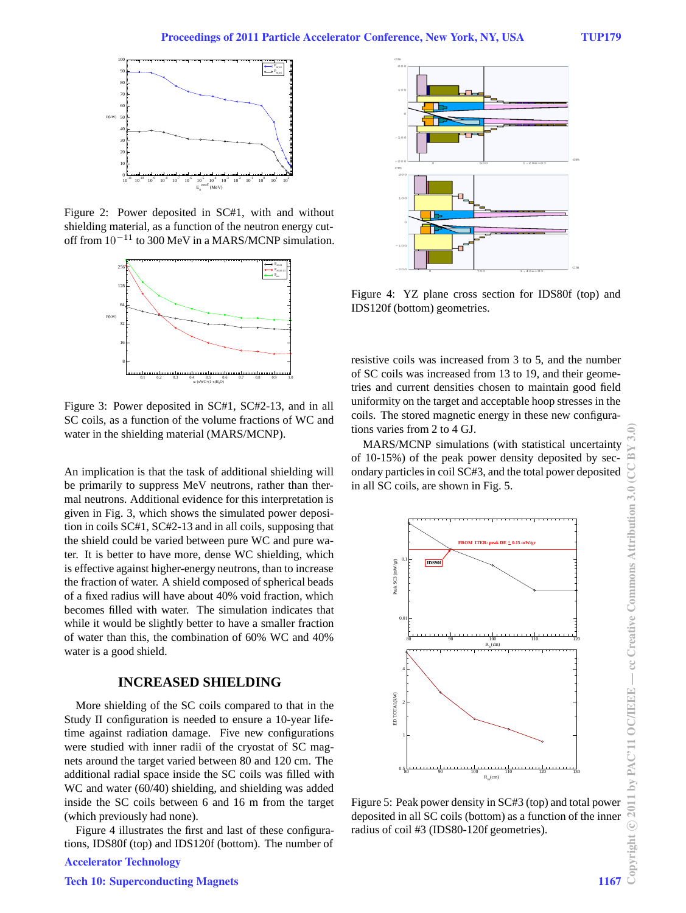

Figure 2: Power deposited in SC#1, with and without shielding material, as a function of the neutron energy cutoff from  $10^{-11}$  to 300 MeV in a MARS/MCNP simulation.



Figure 3: Power deposited in SC#1, SC#2-13, and in all SC coils, as a function of the volume fractions of WC and water in the shielding material (MARS/MCNP).

An implication is that the task of additional shielding will be primarily to suppress MeV neutrons, rather than thermal neutrons. Additional evidence for this interpretation is given in Fig. 3, which shows the simulated power deposition in coils SC#1, SC#2-13 and in all coils, supposing that the shield could be varied between pure WC and pure water. It is better to have more, dense WC shielding, which is effective against higher-energy neutrons, than to increase the fraction of water. A shield composed of spherical beads of a fixed radius will have about 40% void fraction, which becomes filled with water. The simulation indicates that while it would be slightly better to have a smaller fraction of water than this, the combination of 60% WC and 40% water is a good shield.

# **INCREASED SHIELDING**

More shielding of the SC coils compared to that in the Study II configuration is needed to ensure a 10-year lifetime against radiation damage. Five new configurations were studied with inner radii of the cryostat of SC magnets around the target varied between 80 and 120 cm. The additional radial space inside the SC coils was filled with WC and water (60/40) shielding, and shielding was added inside the SC coils between 6 and 16 m from the target (which previously had none).

Figure 4 illustrates the first and last of these configurations, IDS80f (top) and IDS120f (bottom). The number of

# Accelerator Technology



Figure 4: YZ plane cross section for IDS80f (top) and IDS120f (bottom) geometries.

resistive coils was increased from 3 to 5, and the number of SC coils was increased from 13 to 19, and their geometries and current densities chosen to maintain good field uniformity on the target and acceptable hoop stresses in the coils. The stored magnetic energy in these new configurations varies from 2 to 4 GJ.

MARS/MCNP simulations (with statistical uncertainty of 10-15%) of the peak power density deposited by secondary particles in coil SC#3, and the total power deposited in all SC coils, are shown in Fig. 5.



Figure 5: Peak power density in SC#3 (top) and total power deposited in all SC coils (bottom) as a function of the inner radius of coil #3 (IDS80-120f geometries).